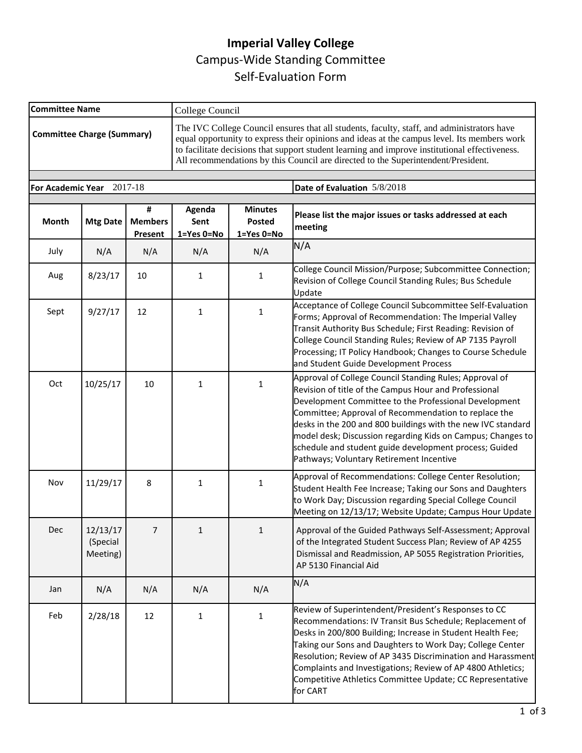### **Imperial Valley College** Campus-Wide Standing Committee Self-Evaluation Form

| <b>Committee Name</b>             |                                  |                                | College Council                                                                                                                                                                                                                                                                                                                                                                  |                                        |                                                                                                                                                                                                                                                                                                                                                                                                                                                                        |  |  |
|-----------------------------------|----------------------------------|--------------------------------|----------------------------------------------------------------------------------------------------------------------------------------------------------------------------------------------------------------------------------------------------------------------------------------------------------------------------------------------------------------------------------|----------------------------------------|------------------------------------------------------------------------------------------------------------------------------------------------------------------------------------------------------------------------------------------------------------------------------------------------------------------------------------------------------------------------------------------------------------------------------------------------------------------------|--|--|
| <b>Committee Charge (Summary)</b> |                                  |                                | The IVC College Council ensures that all students, faculty, staff, and administrators have<br>equal opportunity to express their opinions and ideas at the campus level. Its members work<br>to facilitate decisions that support student learning and improve institutional effectiveness.<br>All recommendations by this Council are directed to the Superintendent/President. |                                        |                                                                                                                                                                                                                                                                                                                                                                                                                                                                        |  |  |
| <b>For Academic Year</b>          |                                  | 2017-18                        |                                                                                                                                                                                                                                                                                                                                                                                  |                                        | Date of Evaluation 5/8/2018                                                                                                                                                                                                                                                                                                                                                                                                                                            |  |  |
| <b>Month</b>                      | <b>Mtg Date</b>                  | #<br><b>Members</b><br>Present | Agenda<br>Sent<br>1=Yes 0=No                                                                                                                                                                                                                                                                                                                                                     | <b>Minutes</b><br>Posted<br>1=Yes 0=No | Please list the major issues or tasks addressed at each<br>meeting                                                                                                                                                                                                                                                                                                                                                                                                     |  |  |
| July                              | N/A                              | N/A                            | N/A                                                                                                                                                                                                                                                                                                                                                                              | N/A                                    | N/A                                                                                                                                                                                                                                                                                                                                                                                                                                                                    |  |  |
| Aug                               | 8/23/17                          | 10                             | 1                                                                                                                                                                                                                                                                                                                                                                                | $\mathbf{1}$                           | College Council Mission/Purpose; Subcommittee Connection;<br>Revision of College Council Standing Rules; Bus Schedule<br>Update                                                                                                                                                                                                                                                                                                                                        |  |  |
| Sept                              | 9/27/17                          | 12                             | $\mathbf{1}$                                                                                                                                                                                                                                                                                                                                                                     | 1                                      | Acceptance of College Council Subcommittee Self-Evaluation<br>Forms; Approval of Recommendation: The Imperial Valley<br>Transit Authority Bus Schedule; First Reading: Revision of<br>College Council Standing Rules; Review of AP 7135 Payroll<br>Processing; IT Policy Handbook; Changes to Course Schedule<br>and Student Guide Development Process                                                                                                                 |  |  |
| Oct                               | 10/25/17                         | 10                             | 1                                                                                                                                                                                                                                                                                                                                                                                | 1                                      | Approval of College Council Standing Rules; Approval of<br>Revision of title of the Campus Hour and Professional<br>Development Committee to the Professional Development<br>Committee; Approval of Recommendation to replace the<br>desks in the 200 and 800 buildings with the new IVC standard<br>model desk; Discussion regarding Kids on Campus; Changes to<br>schedule and student guide development process; Guided<br>Pathways; Voluntary Retirement Incentive |  |  |
| Nov                               | 11/29/17                         | 8                              | $\mathbf{1}$                                                                                                                                                                                                                                                                                                                                                                     | 1                                      | Approval of Recommendations: College Center Resolution;<br>Student Health Fee Increase; Taking our Sons and Daughters<br>to Work Day; Discussion regarding Special College Council<br>Meeting on 12/13/17; Website Update; Campus Hour Update                                                                                                                                                                                                                          |  |  |
| Dec                               | 12/13/17<br>(Special<br>Meeting) | 7                              | 1                                                                                                                                                                                                                                                                                                                                                                                | $\mathbf{1}$                           | Approval of the Guided Pathways Self-Assessment; Approval<br>of the Integrated Student Success Plan; Review of AP 4255<br>Dismissal and Readmission, AP 5055 Registration Priorities,<br>AP 5130 Financial Aid                                                                                                                                                                                                                                                         |  |  |
| Jan                               | N/A                              | N/A                            | N/A                                                                                                                                                                                                                                                                                                                                                                              | N/A                                    | N/A                                                                                                                                                                                                                                                                                                                                                                                                                                                                    |  |  |
| Feb                               | 2/28/18                          | 12                             | $\mathbf{1}$                                                                                                                                                                                                                                                                                                                                                                     | $\mathbf{1}$                           | Review of Superintendent/President's Responses to CC<br>Recommendations: IV Transit Bus Schedule; Replacement of<br>Desks in 200/800 Building; Increase in Student Health Fee;<br>Taking our Sons and Daughters to Work Day; College Center<br>Resolution; Review of AP 3435 Discrimination and Harassment<br>Complaints and Investigations; Review of AP 4800 Athletics;<br>Competitive Athletics Committee Update; CC Representative<br>for CART                     |  |  |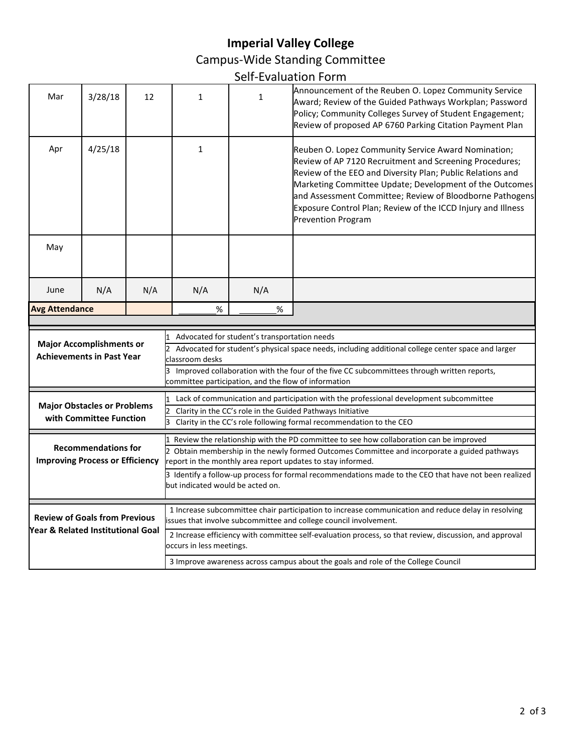# **Imperial Valley College**

## Campus-Wide Standing Committee

| Self-Evaluation Form |  |
|----------------------|--|
|----------------------|--|

| Mar                                                                       | 3/28/18                                                             | 12  | $\mathbf{1}$                                                                                                                                                                                                                                          | 1   | Announcement of the Reuben O. Lopez Community Service<br>Award; Review of the Guided Pathways Workplan; Password<br>Policy; Community Colleges Survey of Student Engagement;<br>Review of proposed AP 6760 Parking Citation Payment Plan                                                                                                                                                  |  |  |  |
|---------------------------------------------------------------------------|---------------------------------------------------------------------|-----|-------------------------------------------------------------------------------------------------------------------------------------------------------------------------------------------------------------------------------------------------------|-----|-------------------------------------------------------------------------------------------------------------------------------------------------------------------------------------------------------------------------------------------------------------------------------------------------------------------------------------------------------------------------------------------|--|--|--|
| Apr                                                                       | 4/25/18                                                             |     | 1                                                                                                                                                                                                                                                     |     | Reuben O. Lopez Community Service Award Nomination;<br>Review of AP 7120 Recruitment and Screening Procedures;<br>Review of the EEO and Diversity Plan; Public Relations and<br>Marketing Committee Update; Development of the Outcomes<br>and Assessment Committee; Review of Bloodborne Pathogens<br>Exposure Control Plan; Review of the ICCD Injury and Illness<br>Prevention Program |  |  |  |
| May                                                                       |                                                                     |     |                                                                                                                                                                                                                                                       |     |                                                                                                                                                                                                                                                                                                                                                                                           |  |  |  |
| June                                                                      | N/A                                                                 | N/A | N/A                                                                                                                                                                                                                                                   | N/A |                                                                                                                                                                                                                                                                                                                                                                                           |  |  |  |
| <b>Avg Attendance</b>                                                     |                                                                     |     | %                                                                                                                                                                                                                                                     | %   |                                                                                                                                                                                                                                                                                                                                                                                           |  |  |  |
|                                                                           |                                                                     |     | Advocated for student's transportation needs                                                                                                                                                                                                          |     |                                                                                                                                                                                                                                                                                                                                                                                           |  |  |  |
|                                                                           | <b>Major Accomplishments or</b><br><b>Achievements in Past Year</b> |     | Advocated for student's physical space needs, including additional college center space and larger<br>classroom desks                                                                                                                                 |     |                                                                                                                                                                                                                                                                                                                                                                                           |  |  |  |
|                                                                           |                                                                     |     | Improved collaboration with the four of the five CC subcommittees through written reports,<br>з<br>committee participation, and the flow of information                                                                                               |     |                                                                                                                                                                                                                                                                                                                                                                                           |  |  |  |
|                                                                           |                                                                     |     | Lack of communication and participation with the professional development subcommittee                                                                                                                                                                |     |                                                                                                                                                                                                                                                                                                                                                                                           |  |  |  |
|                                                                           | <b>Major Obstacles or Problems</b><br>with Committee Function       |     | Clarity in the CC's role in the Guided Pathways Initiative<br>Clarity in the CC's role following formal recommendation to the CEO                                                                                                                     |     |                                                                                                                                                                                                                                                                                                                                                                                           |  |  |  |
|                                                                           |                                                                     |     |                                                                                                                                                                                                                                                       |     |                                                                                                                                                                                                                                                                                                                                                                                           |  |  |  |
| <b>Improving Process or Efficiency</b>                                    | <b>Recommendations for</b>                                          |     | Review the relationship with the PD committee to see how collaboration can be improved<br>2 Obtain membership in the newly formed Outcomes Committee and incorporate a guided pathways<br>report in the monthly area report updates to stay informed. |     |                                                                                                                                                                                                                                                                                                                                                                                           |  |  |  |
|                                                                           |                                                                     |     | 3 Identify a follow-up process for formal recommendations made to the CEO that have not been realized<br>but indicated would be acted on.                                                                                                             |     |                                                                                                                                                                                                                                                                                                                                                                                           |  |  |  |
| <b>Review of Goals from Previous</b><br>Year & Related Institutional Goal |                                                                     |     | 1 Increase subcommittee chair participation to increase communication and reduce delay in resolving<br>issues that involve subcommittee and college council involvement.                                                                              |     |                                                                                                                                                                                                                                                                                                                                                                                           |  |  |  |
|                                                                           |                                                                     |     | 2 Increase efficiency with committee self-evaluation process, so that review, discussion, and approval<br>occurs in less meetings.                                                                                                                    |     |                                                                                                                                                                                                                                                                                                                                                                                           |  |  |  |
|                                                                           |                                                                     |     | 3 Improve awareness across campus about the goals and role of the College Council                                                                                                                                                                     |     |                                                                                                                                                                                                                                                                                                                                                                                           |  |  |  |